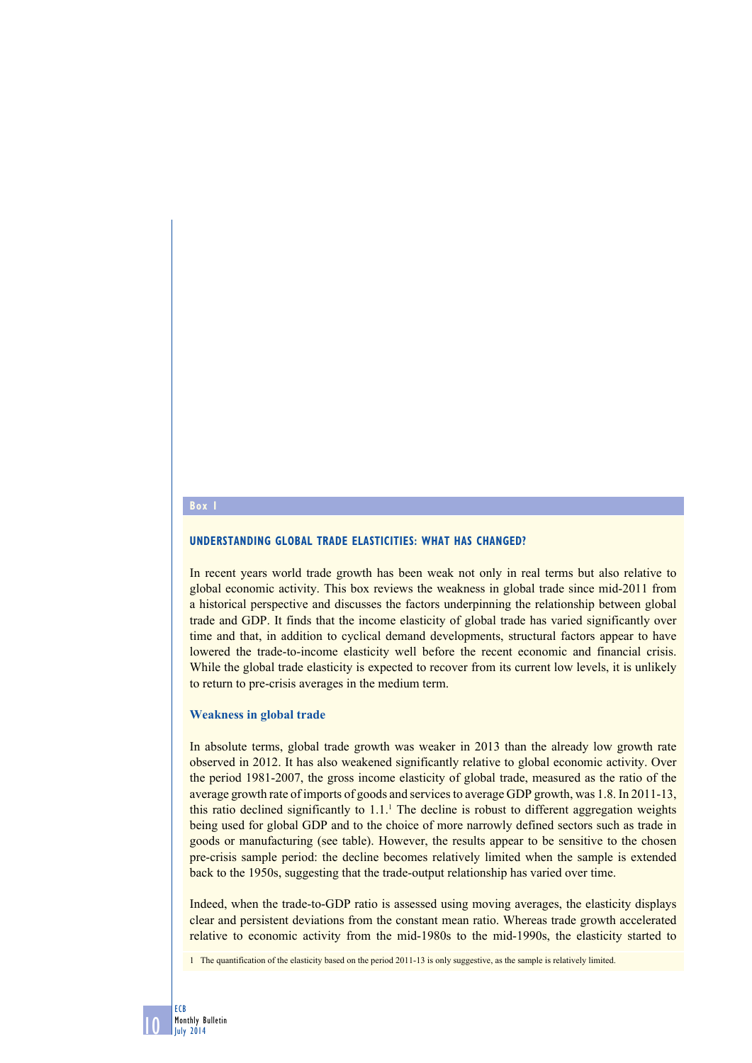#### **Box 1**

10

ECB Monthly Bulletin July 2014

### **Understanding global trade elasticities: what has changed?**

In recent years world trade growth has been weak not only in real terms but also relative to global economic activity. This box reviews the weakness in global trade since mid-2011 from a historical perspective and discusses the factors underpinning the relationship between global trade and GDP. It finds that the income elasticity of global trade has varied significantly over time and that, in addition to cyclical demand developments, structural factors appear to have lowered the trade-to-income elasticity well before the recent economic and financial crisis. While the global trade elasticity is expected to recover from its current low levels, it is unlikely to return to pre-crisis averages in the medium term.

#### **Weakness in global trade**

In absolute terms, global trade growth was weaker in 2013 than the already low growth rate observed in 2012. It has also weakened significantly relative to global economic activity. Over the period 1981-2007, the gross income elasticity of global trade, measured as the ratio of the average growth rate of imports of goods and services to average GDP growth, was 1.8. In 2011-13, this ratio declined significantly to  $1.1<sup>1</sup>$ . The decline is robust to different aggregation weights being used for global GDP and to the choice of more narrowly defined sectors such as trade in goods or manufacturing (see table). However, the results appear to be sensitive to the chosen pre-crisis sample period: the decline becomes relatively limited when the sample is extended back to the 1950s, suggesting that the trade-output relationship has varied over time.

Indeed, when the trade-to-GDP ratio is assessed using moving averages, the elasticity displays clear and persistent deviations from the constant mean ratio. Whereas trade growth accelerated relative to economic activity from the mid-1980s to the mid-1990s, the elasticity started to

1 The quantification of the elasticity based on the period 2011-13 is only suggestive, as the sample is relatively limited.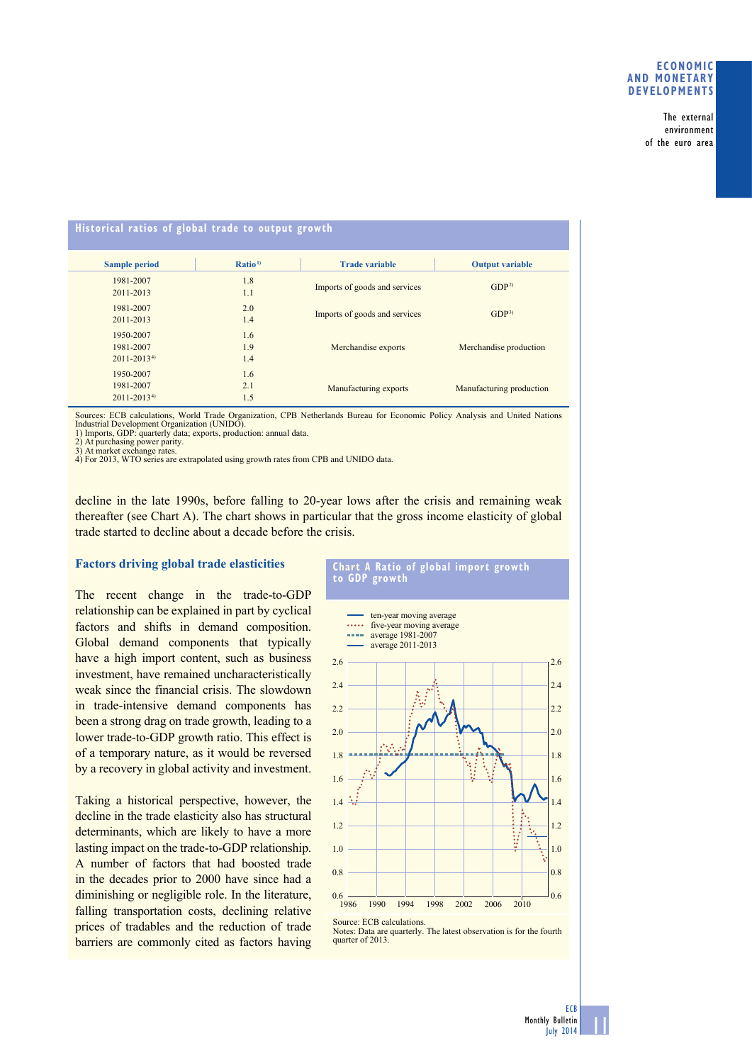## **Economic and monetary developments**

The external environment of the euro area

| Historical ratios of global trade to output growth |                    |                               |                          |
|----------------------------------------------------|--------------------|-------------------------------|--------------------------|
| <b>Sample period</b>                               | Ratio <sup>1</sup> | <b>Trade variable</b>         | <b>Output variable</b>   |
| 1981-2007                                          | 1.8                | Imports of goods and services | GDP <sup>2</sup>         |
| 2011-2013                                          | 1.1                |                               |                          |
| 1981-2007                                          | 2.0                | Imports of goods and services | GDP <sup>3</sup>         |
| 2011-2013                                          | 1.4                |                               |                          |
| 1950-2007                                          | 1.6                | Merchandise exports           | Merchandise production   |
| 1981-2007                                          | 1.9                |                               |                          |
| $2011 - 2013^{4}$                                  | 1.4                |                               |                          |
| 1950-2007                                          | 1.6                |                               |                          |
| 1981-2007                                          | 2.1                | Manufacturing exports         | Manufacturing production |
| $2011 - 2013^{4}$                                  | 1.5                |                               |                          |

Sources: ECB calculations, World Trade Organization, CPB Netherlands Bureau for Economic Policy Analysis and United Nations Industrial Development Organization (UNIDO).

1) Imports, GDP: quarterly data; exports, production: annual data.

2) At purchasing power parity. 3) At market exchange rates.

4) For 2013, WTO series are extrapolated using growth rates from CPB and UNIDO data.

decline in the late 1990s, before falling to 20-year lows after the crisis and remaining weak thereafter (see Chart A). The chart shows in particular that the gross income elasticity of global trade started to decline about a decade before the crisis.

# **Factors driving global trade elasticities**

The recent change in the trade-to-GDP relationship can be explained in part by cyclical factors and shifts in demand composition. Global demand components that typically have a high import content, such as business investment, have remained uncharacteristically weak since the financial crisis. The slowdown in trade-intensive demand components has been a strong drag on trade growth, leading to a lower trade-to-GDP growth ratio. This effect is of a temporary nature, as it would be reversed by a recovery in global activity and investment.

Taking a historical perspective, however, the decline in the trade elasticity also has structural determinants, which are likely to have a more lasting impact on the trade-to-GDP relationship. A number of factors that had boosted trade in the decades prior to 2000 have since had a diminishing or negligible role. In the literature, falling transportation costs, declining relative prices of tradables and the reduction of trade barriers are commonly cited as factors having





Source: ECB calculations.

Notes: Data are quarterly. The latest observation is for the fourth quarter of 2013.

11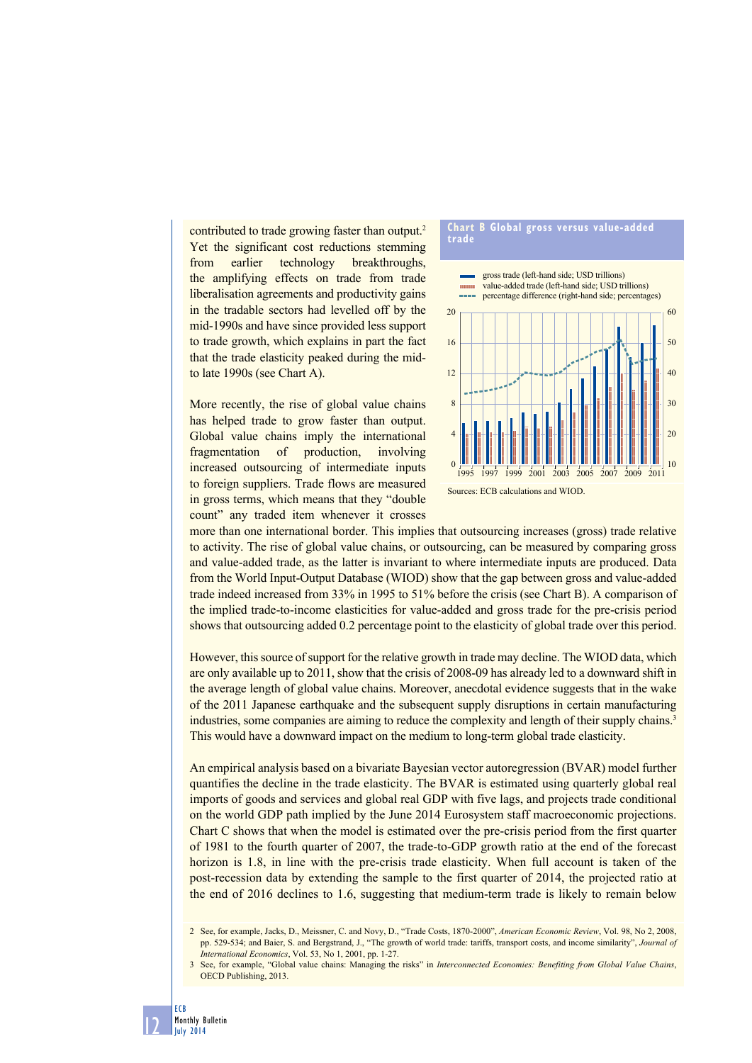contributed to trade growing faster than output.<sup>2</sup> Yet the significant cost reductions stemming from earlier technology breakthroughs, the amplifying effects on trade from trade liberalisation agreements and productivity gains in the tradable sectors had levelled off by the mid-1990s and have since provided less support to trade growth, which explains in part the fact that the trade elasticity peaked during the midto late 1990s (see Chart A).

More recently, the rise of global value chains has helped trade to grow faster than output. Global value chains imply the international fragmentation of production, involving increased outsourcing of intermediate inputs to foreign suppliers. Trade flows are measured in gross terms, which means that they "double count" any traded item whenever it crosses



more than one international border. This implies that outsourcing increases (gross) trade relative to activity. The rise of global value chains, or outsourcing, can be measured by comparing gross and value-added trade, as the latter is invariant to where intermediate inputs are produced. Data from the World Input-Output Database (WIOD) show that the gap between gross and value-added trade indeed increased from 33% in 1995 to 51% before the crisis (see Chart B). A comparison of the implied trade-to-income elasticities for value-added and gross trade for the pre-crisis period shows that outsourcing added 0.2 percentage point to the elasticity of global trade over this period.

However, this source of support for the relative growth in trade may decline. The WIOD data, which are only available up to 2011, show that the crisis of 2008-09 has already led to a downward shift in the average length of global value chains. Moreover, anecdotal evidence suggests that in the wake of the 2011 Japanese earthquake and the subsequent supply disruptions in certain manufacturing industries, some companies are aiming to reduce the complexity and length of their supply chains.<sup>3</sup> This would have a downward impact on the medium to long-term global trade elasticity.

An empirical analysis based on a bivariate Bayesian vector autoregression (BVAR) model further quantifies the decline in the trade elasticity. The BVAR is estimated using quarterly global real imports of goods and services and global real GDP with five lags, and projects trade conditional on the world GDP path implied by the June 2014 Eurosystem staff macroeconomic projections. Chart C shows that when the model is estimated over the pre-crisis period from the first quarter of 1981 to the fourth quarter of 2007, the trade-to-GDP growth ratio at the end of the forecast horizon is 1.8, in line with the pre-crisis trade elasticity. When full account is taken of the post-recession data by extending the sample to the first quarter of 2014, the projected ratio at the end of 2016 declines to 1.6, suggesting that medium-term trade is likely to remain below

12

<sup>2</sup> See, for example, Jacks, D., Meissner, C. and Novy, D., "Trade Costs, 1870-2000", *American Economic Review*, Vol. 98, No 2, 2008, pp. 529-534; and Baier, S. and Bergstrand, J., "The growth of world trade: tariffs, transport costs, and income similarity", *Journal of International Economics*, Vol. 53, No 1, 2001, pp. 1-27.

<sup>3</sup> See, for example, "Global value chains: Managing the risks" in *Interconnected Economies: Benefiting from Global Value Chains*, OECD Publishing, 2013.